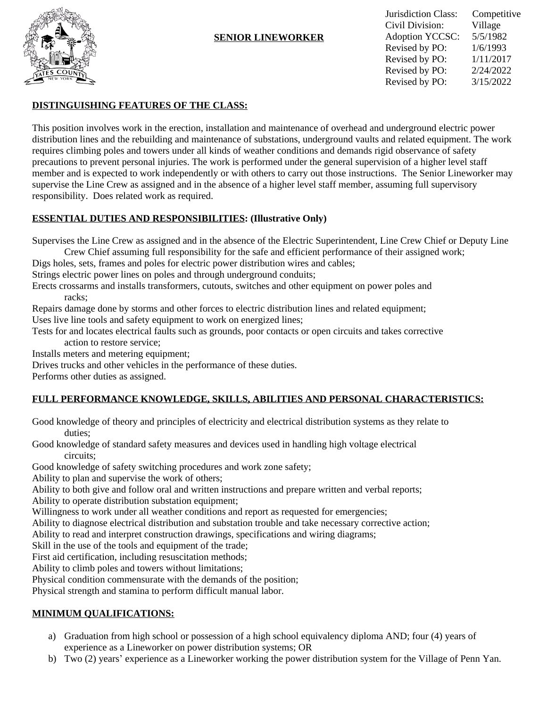

#### **SENIOR LINEWORKER**

Jurisdiction Class: Competitive Civil Division: Village Adoption YCCSC: 5/5/1982 Revised by PO:  $1/6/1993$ Revised by PO: 1/11/2017 Revised by PO: 2/24/2022 Revised by PO: 3/15/2022

### **DISTINGUISHING FEATURES OF THE CLASS:**

This position involves work in the erection, installation and maintenance of overhead and underground electric power distribution lines and the rebuilding and maintenance of substations, underground vaults and related equipment. The work requires climbing poles and towers under all kinds of weather conditions and demands rigid observance of safety precautions to prevent personal injuries. The work is performed under the general supervision of a higher level staff member and is expected to work independently or with others to carry out those instructions. The Senior Lineworker may supervise the Line Crew as assigned and in the absence of a higher level staff member, assuming full supervisory responsibility. Does related work as required.

#### **ESSENTIAL DUTIES AND RESPONSIBILITIES: (Illustrative Only)**

Supervises the Line Crew as assigned and in the absence of the Electric Superintendent, Line Crew Chief or Deputy Line

Crew Chief assuming full responsibility for the safe and efficient performance of their assigned work;

Digs holes, sets, frames and poles for electric power distribution wires and cables;

Strings electric power lines on poles and through underground conduits;

Erects crossarms and installs transformers, cutouts, switches and other equipment on power poles and racks;

Repairs damage done by storms and other forces to electric distribution lines and related equipment; Uses live line tools and safety equipment to work on energized lines;

Tests for and locates electrical faults such as grounds, poor contacts or open circuits and takes corrective action to restore service;

Installs meters and metering equipment;

Drives trucks and other vehicles in the performance of these duties.

Performs other duties as assigned.

## **FULL PERFORMANCE KNOWLEDGE, SKILLS, ABILITIES AND PERSONAL CHARACTERISTICS:**

Good knowledge of theory and principles of electricity and electrical distribution systems as they relate to duties;

Good knowledge of standard safety measures and devices used in handling high voltage electrical circuits;

Good knowledge of safety switching procedures and work zone safety;

Ability to plan and supervise the work of others;

Ability to both give and follow oral and written instructions and prepare written and verbal reports; Ability to operate distribution substation equipment;

Willingness to work under all weather conditions and report as requested for emergencies;

Ability to diagnose electrical distribution and substation trouble and take necessary corrective action;

Ability to read and interpret construction drawings, specifications and wiring diagrams;

Skill in the use of the tools and equipment of the trade;

First aid certification, including resuscitation methods;

Ability to climb poles and towers without limitations;

Physical condition commensurate with the demands of the position;

Physical strength and stamina to perform difficult manual labor.

## **MINIMUM QUALIFICATIONS:**

- a) Graduation from high school or possession of a high school equivalency diploma AND; four (4) years of experience as a Lineworker on power distribution systems; OR
- b) Two (2) years' experience as a Lineworker working the power distribution system for the Village of Penn Yan.